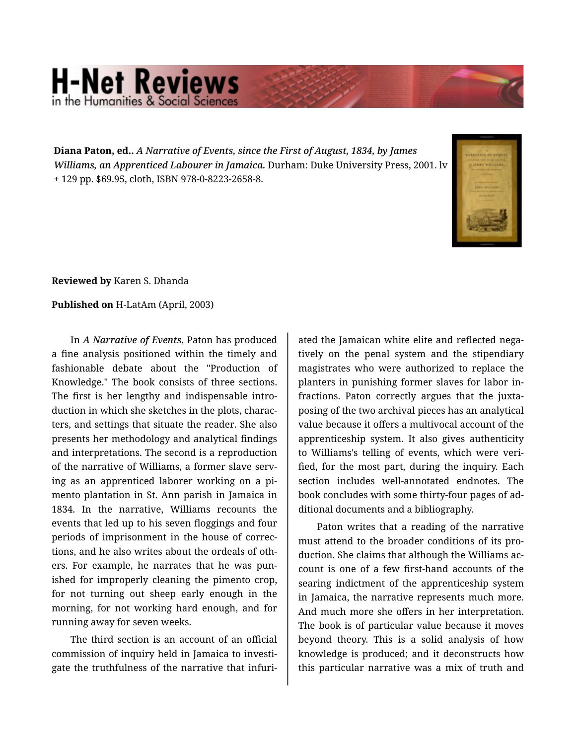## **H-Net Reviews** in the Humanities & Social Scie

**Diana Paton, ed..** *A Narrative of Events, since the First of August, 1834, by James Williams, an Apprenticed Labourer in Jamaica.* Durham: Duke University Press, 2001. lv + 129 pp. \$69.95, cloth, ISBN 978-0-8223-2658-8.



**Reviewed by** Karen S. Dhanda

**Published on** H-LatAm (April, 2003)

In *A Narrative of Events*, Paton has produced a fine analysis positioned within the timely and fashionable debate about the "Production of Knowledge." The book consists of three sections. The first is her lengthy and indispensable intro‐ duction in which she sketches in the plots, charac‐ ters, and settings that situate the reader. She also presents her methodology and analytical findings and interpretations. The second is a reproduction of the narrative of Williams, a former slave serv‐ ing as an apprenticed laborer working on a pi‐ mento plantation in St. Ann parish in Jamaica in 1834. In the narrative, Williams recounts the events that led up to his seven floggings and four periods of imprisonment in the house of correc‐ tions, and he also writes about the ordeals of oth‐ ers. For example, he narrates that he was pun‐ ished for improperly cleaning the pimento crop, for not turning out sheep early enough in the morning, for not working hard enough, and for running away for seven weeks.

The third section is an account of an official commission of inquiry held in Jamaica to investi‐ gate the truthfulness of the narrative that infuri‐

ated the Jamaican white elite and reflected nega‐ tively on the penal system and the stipendiary magistrates who were authorized to replace the planters in punishing former slaves for labor in‐ fractions. Paton correctly argues that the juxta‐ posing of the two archival pieces has an analytical value because it offers a multivocal account of the apprenticeship system. It also gives authenticity to Williams's telling of events, which were veri‐ fied, for the most part, during the inquiry. Each section includes well-annotated endnotes. The book concludes with some thirty-four pages of ad‐ ditional documents and a bibliography.

Paton writes that a reading of the narrative must attend to the broader conditions of its pro‐ duction. She claims that although the Williams ac‐ count is one of a few first-hand accounts of the searing indictment of the apprenticeship system in Jamaica, the narrative represents much more. And much more she offers in her interpretation. The book is of particular value because it moves beyond theory. This is a solid analysis of how knowledge is produced; and it deconstructs how this particular narrative was a mix of truth and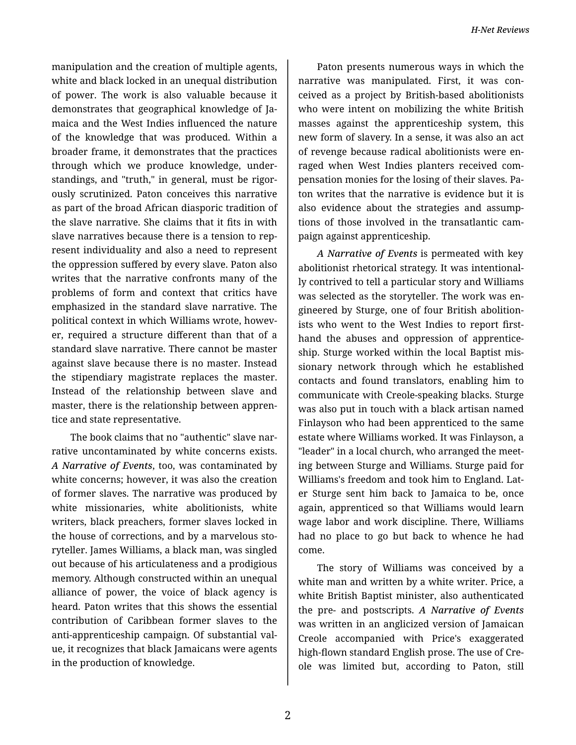manipulation and the creation of multiple agents, white and black locked in an unequal distribution of power. The work is also valuable because it demonstrates that geographical knowledge of Ja‐ maica and the West Indies influenced the nature of the knowledge that was produced. Within a broader frame, it demonstrates that the practices through which we produce knowledge, under‐ standings, and "truth," in general, must be rigor‐ ously scrutinized. Paton conceives this narrative as part of the broad African diasporic tradition of the slave narrative. She claims that it fits in with slave narratives because there is a tension to rep‐ resent individuality and also a need to represent the oppression suffered by every slave. Paton also writes that the narrative confronts many of the problems of form and context that critics have emphasized in the standard slave narrative. The political context in which Williams wrote, howev‐ er, required a structure different than that of a standard slave narrative. There cannot be master against slave because there is no master. Instead the stipendiary magistrate replaces the master. Instead of the relationship between slave and master, there is the relationship between appren‐ tice and state representative.

The book claims that no "authentic" slave nar‐ rative uncontaminated by white concerns exists. *A Narrative of Events*, too, was contaminated by white concerns; however, it was also the creation of former slaves. The narrative was produced by white missionaries, white abolitionists, white writers, black preachers, former slaves locked in the house of corrections, and by a marvelous sto‐ ryteller. James Williams, a black man, was singled out because of his articulateness and a prodigious memory. Although constructed within an unequal alliance of power, the voice of black agency is heard. Paton writes that this shows the essential contribution of Caribbean former slaves to the anti-apprenticeship campaign. Of substantial val‐ ue, it recognizes that black Jamaicans were agents in the production of knowledge.

Paton presents numerous ways in which the narrative was manipulated. First, it was con‐ ceived as a project by British-based abolitionists who were intent on mobilizing the white British masses against the apprenticeship system, this new form of slavery. In a sense, it was also an act of revenge because radical abolitionists were en‐ raged when West Indies planters received com‐ pensation monies for the losing of their slaves. Pa‐ ton writes that the narrative is evidence but it is also evidence about the strategies and assump‐ tions of those involved in the transatlantic cam‐ paign against apprenticeship.

*A Narrative of Events* is permeated with key abolitionist rhetorical strategy. It was intentional‐ ly contrived to tell a particular story and Williams was selected as the storyteller. The work was en‐ gineered by Sturge, one of four British abolition‐ ists who went to the West Indies to report firsthand the abuses and oppression of apprentice‐ ship. Sturge worked within the local Baptist mis‐ sionary network through which he established contacts and found translators, enabling him to communicate with Creole-speaking blacks. Sturge was also put in touch with a black artisan named Finlayson who had been apprenticed to the same estate where Williams worked. It was Finlayson, a "leader" in a local church, who arranged the meet‐ ing between Sturge and Williams. Sturge paid for Williams's freedom and took him to England. Lat‐ er Sturge sent him back to Jamaica to be, once again, apprenticed so that Williams would learn wage labor and work discipline. There, Williams had no place to go but back to whence he had come.

The story of Williams was conceived by a white man and written by a white writer. Price, a white British Baptist minister, also authenticated the pre- and postscripts. *A Narrative of Events* was written in an anglicized version of Jamaican Creole accompanied with Price's exaggerated high-flown standard English prose. The use of Cre‐ ole was limited but, according to Paton, still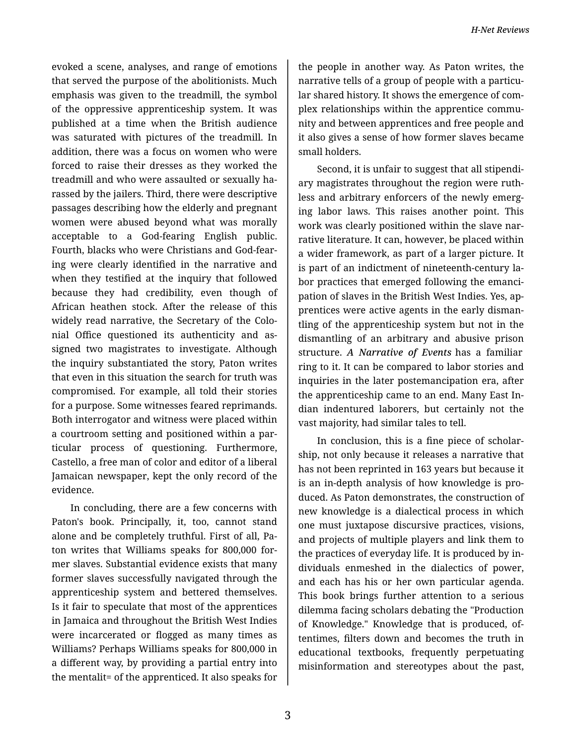evoked a scene, analyses, and range of emotions that served the purpose of the abolitionists. Much emphasis was given to the treadmill, the symbol of the oppressive apprenticeship system. It was published at a time when the British audience was saturated with pictures of the treadmill. In addition, there was a focus on women who were forced to raise their dresses as they worked the treadmill and who were assaulted or sexually ha‐ rassed by the jailers. Third, there were descriptive passages describing how the elderly and pregnant women were abused beyond what was morally acceptable to a God-fearing English public. Fourth, blacks who were Christians and God-fear‐ ing were clearly identified in the narrative and when they testified at the inquiry that followed because they had credibility, even though of African heathen stock. After the release of this widely read narrative, the Secretary of the Colo‐ nial Office questioned its authenticity and as‐ signed two magistrates to investigate. Although the inquiry substantiated the story, Paton writes that even in this situation the search for truth was compromised. For example, all told their stories for a purpose. Some witnesses feared reprimands. Both interrogator and witness were placed within a courtroom setting and positioned within a par‐ ticular process of questioning. Furthermore, Castello, a free man of color and editor of a liberal Jamaican newspaper, kept the only record of the evidence.

In concluding, there are a few concerns with Paton's book. Principally, it, too, cannot stand alone and be completely truthful. First of all, Pa‐ ton writes that Williams speaks for 800,000 for‐ mer slaves. Substantial evidence exists that many former slaves successfully navigated through the apprenticeship system and bettered themselves. Is it fair to speculate that most of the apprentices in Jamaica and throughout the British West Indies were incarcerated or flogged as many times as Williams? Perhaps Williams speaks for 800,000 in a different way, by providing a partial entry into the mentalit= of the apprenticed. It also speaks for

the people in another way. As Paton writes, the narrative tells of a group of people with a particu‐ lar shared history. It shows the emergence of com‐ plex relationships within the apprentice community and between apprentices and free people and it also gives a sense of how former slaves became small holders.

Second, it is unfair to suggest that all stipendi‐ ary magistrates throughout the region were ruth‐ less and arbitrary enforcers of the newly emerg‐ ing labor laws. This raises another point. This work was clearly positioned within the slave nar‐ rative literature. It can, however, be placed within a wider framework, as part of a larger picture. It is part of an indictment of nineteenth-century la‐ bor practices that emerged following the emanci‐ pation of slaves in the British West Indies. Yes, ap‐ prentices were active agents in the early disman‐ tling of the apprenticeship system but not in the dismantling of an arbitrary and abusive prison structure. *A Narrative of Events* has a familiar ring to it. It can be compared to labor stories and inquiries in the later postemancipation era, after the apprenticeship came to an end. Many East In‐ dian indentured laborers, but certainly not the vast majority, had similar tales to tell.

In conclusion, this is a fine piece of scholar‐ ship, not only because it releases a narrative that has not been reprinted in 163 years but because it is an in-depth analysis of how knowledge is pro‐ duced. As Paton demonstrates, the construction of new knowledge is a dialectical process in which one must juxtapose discursive practices, visions, and projects of multiple players and link them to the practices of everyday life. It is produced by in‐ dividuals enmeshed in the dialectics of power, and each has his or her own particular agenda. This book brings further attention to a serious dilemma facing scholars debating the "Production of Knowledge." Knowledge that is produced, of‐ tentimes, filters down and becomes the truth in educational textbooks, frequently perpetuating misinformation and stereotypes about the past,